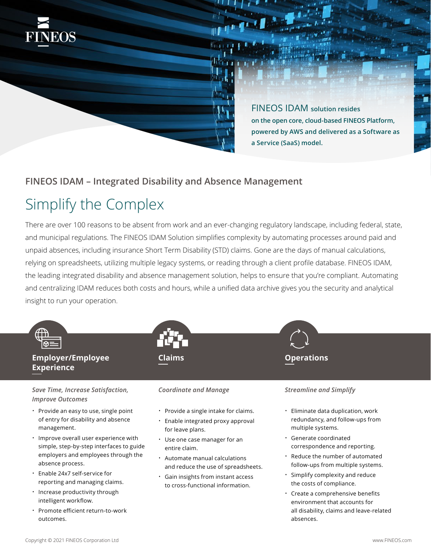

# **FINEOS IDAM – Integrated Disability and Absence Management**

# Simplify the Complex

**NEOS** 

There are over 100 reasons to be absent from work and an ever-changing regulatory landscape, including federal, state, and municipal regulations. The FINEOS IDAM Solution simplifies complexity by automating processes around paid and unpaid absences, including insurance Short Term Disability (STD) claims. Gone are the days of manual calculations, relying on spreadsheets, utilizing multiple legacy systems, or reading through a client profile database. FINEOS IDAM, the leading integrated disability and absence management solution, helps to ensure that you're compliant. Automating and centralizing IDAM reduces both costs and hours, while a unified data archive gives you the security and analytical insight to run your operation.



- reporting and managing claims.
- Increase productivity through intelligent workflow.
- Promote efficient return-to-work outcomes.

- Gain insights from instant access to cross-functional information.
- Simplify complexity and reduce the costs of compliance.
- Create a comprehensive benefits environment that accounts for all disability, claims and leave-related absences.